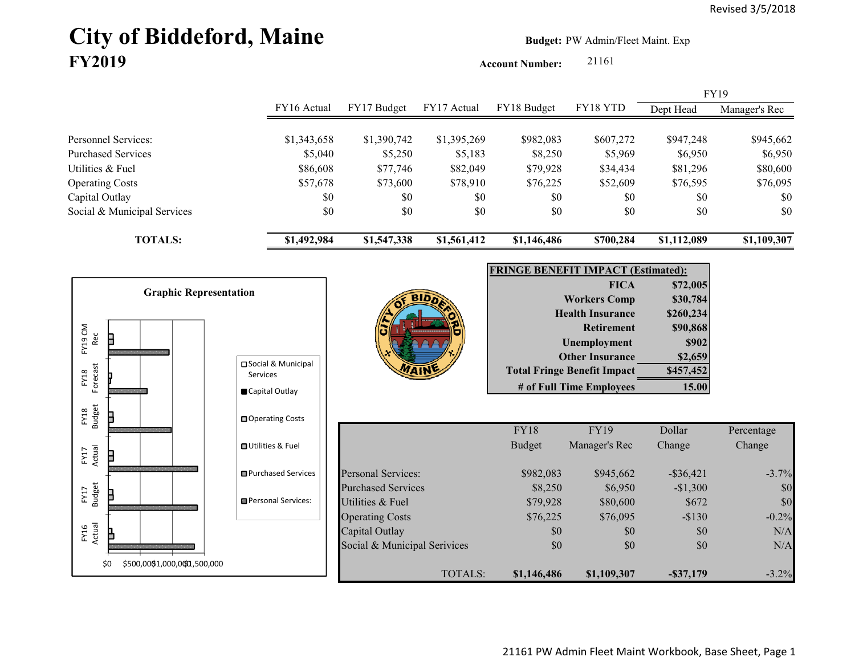# City of Biddeford, Maine **Budget:** PW Admin/Fleet Maint. Exp **FY2019**

**Account Number:** 21161

FY16 Actual FY17 Budget FY17 Actual FY18 Budget FY18 YTD Dept Head Manager's Rec Personnel Services: \$1,343,658 \$1,390,742 \$1,395,269 \$982,083 \$607,272 \$947,248 \$945,662 Purchased Services 6,950 \$5,040 \$5,250 \$5,183 \$8,250 \$5,969 \$6,950 \$6,950 Utilities & Fuel \$86,608 \$77,746 \$82,049 \$79,928 \$34,434 \$81,296 \$80,600 Operating Costs \$57,678 \$73,600 \$78,910 \$76,225 \$52,609 \$76,595 \$76,095 Capital Outlay \$0 \$0 \$0 \$0 \$0 \$0 Social & Municipal Services \$0 \$0 \$0 \$0 \$0 \$0 \$0 **TOTALS: \$1,492,984 \$1,547,338 \$1,561,412 \$1,146,486 \$700,284 \$1,112,089 \$1,109,307** FY19

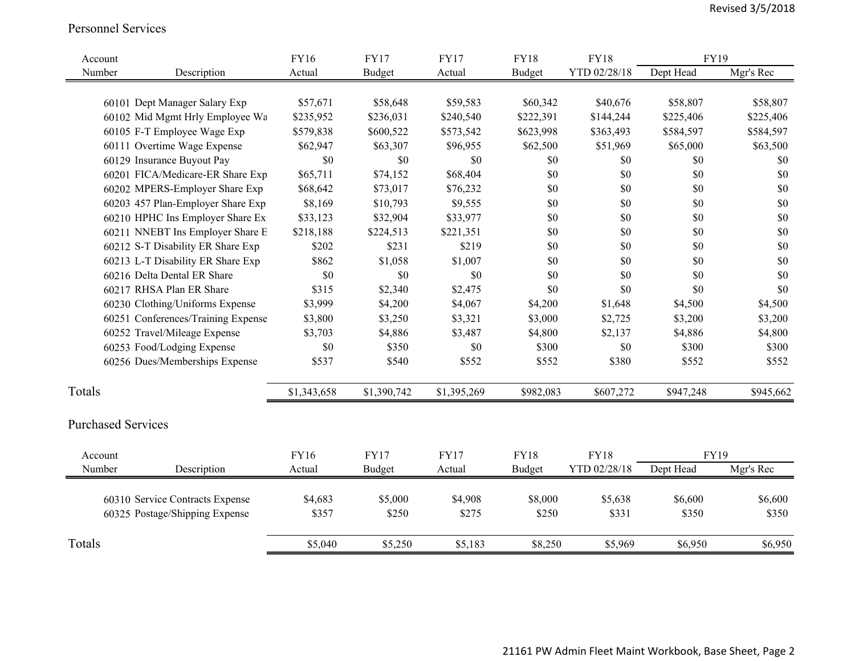#### Personnel Services

| Account |                                    | <b>FY16</b> | <b>FY17</b>   | <b>FY17</b> | <b>FY18</b>   | <b>FY18</b>  | FY19        |           |
|---------|------------------------------------|-------------|---------------|-------------|---------------|--------------|-------------|-----------|
| Number  | Description                        | Actual      | Budget        | Actual      | <b>Budget</b> | YTD 02/28/18 | Dept Head   | Mgr's Rec |
|         |                                    |             |               |             |               |              |             |           |
|         | 60101 Dept Manager Salary Exp      | \$57,671    | \$58,648      | \$59,583    | \$60,342      | \$40,676     | \$58,807    | \$58,807  |
|         | 60102 Mid Mgmt Hrly Employee Wa    | \$235,952   | \$236,031     | \$240,540   | \$222,391     | \$144,244    | \$225,406   | \$225,406 |
|         | 60105 F-T Employee Wage Exp        | \$579,838   | \$600,522     | \$573,542   | \$623,998     | \$363,493    | \$584,597   | \$584,597 |
|         | 60111 Overtime Wage Expense        | \$62,947    | \$63,307      | \$96,955    | \$62,500      | \$51,969     | \$65,000    | \$63,500  |
|         | 60129 Insurance Buyout Pay         | \$0         | \$0           | \$0         | \$0           | \$0          | \$0         | \$0       |
|         | 60201 FICA/Medicare-ER Share Exp   | \$65,711    | \$74,152      | \$68,404    | \$0           | \$0          | \$0         | \$0       |
|         | 60202 MPERS-Employer Share Exp     | \$68,642    | \$73,017      | \$76,232    | \$0           | \$0          | \$0         | \$0       |
|         | 60203 457 Plan-Employer Share Exp  | \$8,169     | \$10,793      | \$9,555     | \$0           | \$0          | \$0         | \$0       |
|         | 60210 HPHC Ins Employer Share Ex   | \$33,123    | \$32,904      | \$33,977    | \$0           | \$0          | \$0         | \$0       |
|         | 60211 NNEBT Ins Employer Share E   | \$218,188   | \$224,513     | \$221,351   | \$0           | \$0          | \$0         | \$0       |
|         | 60212 S-T Disability ER Share Exp  | \$202       | \$231         | \$219       | \$0           | \$0          | \$0         | \$0       |
|         | 60213 L-T Disability ER Share Exp  | \$862       | \$1,058       | \$1,007     | \$0           | \$0          | \$0         | \$0       |
|         | 60216 Delta Dental ER Share        | \$0         | \$0           | \$0         | \$0           | \$0          | \$0         | \$0       |
|         | 60217 RHSA Plan ER Share           | \$315       | \$2,340       | \$2,475     | \$0           | \$0          | \$0         | \$0       |
|         | 60230 Clothing/Uniforms Expense    | \$3,999     | \$4,200       | \$4,067     | \$4,200       | \$1,648      | \$4,500     | \$4,500   |
|         | 60251 Conferences/Training Expense | \$3,800     | \$3,250       | \$3,321     | \$3,000       | \$2,725      | \$3,200     | \$3,200   |
|         | 60252 Travel/Mileage Expense       | \$3,703     | \$4,886       | \$3,487     | \$4,800       | \$2,137      | \$4,886     | \$4,800   |
|         | 60253 Food/Lodging Expense         | \$0         | \$350         | \$0         | \$300         | \$0          | \$300       | \$300     |
|         | 60256 Dues/Memberships Expense     | \$537       | \$540         | \$552       | \$552         | \$380        | \$552       | \$552     |
| Totals  |                                    | \$1,343,658 | \$1,390,742   | \$1,395,269 | \$982,083     | \$607,272    | \$947,248   | \$945,662 |
|         |                                    |             |               |             |               |              |             |           |
|         | <b>Purchased Services</b>          |             |               |             |               |              |             |           |
| Account |                                    | <b>FY16</b> | <b>FY17</b>   | <b>FY17</b> | <b>FY18</b>   | <b>FY18</b>  | <b>FY19</b> |           |
| Number  | Description                        | Actual      | <b>Budget</b> | Actual      | <b>Budget</b> | YTD 02/28/18 | Dept Head   | Mgr's Rec |
|         |                                    |             |               |             |               |              |             |           |
|         | 60310 Service Contracts Expense    | \$4,683     | \$5,000       | \$4,908     | \$8,000       | \$5,638      | \$6,600     | \$6,600   |
|         | 60325 Postage/Shipping Expense     | \$357       | \$250         | \$275       | \$250         | \$331        | \$350       | \$350     |
| Totals  |                                    | \$5,040     | \$5,250       | \$5,183     | \$8,250       | \$5,969      | \$6,950     | \$6,950   |
|         |                                    |             |               |             |               |              |             |           |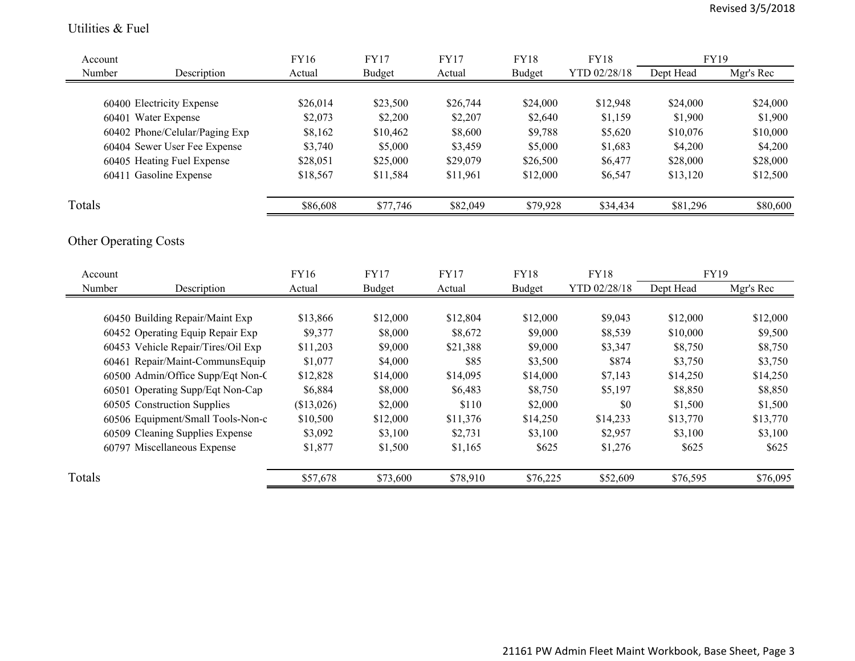#### Utilities & Fuel

| Account                            | <b>FY16</b> | <b>FY17</b>   | <b>FY17</b> | <b>FY18</b>   | <b>FY18</b>  | FY19        |           |
|------------------------------------|-------------|---------------|-------------|---------------|--------------|-------------|-----------|
| Number<br>Description              | Actual      | <b>Budget</b> | Actual      | <b>Budget</b> | YTD 02/28/18 | Dept Head   | Mgr's Rec |
|                                    |             |               |             |               |              |             |           |
| 60400 Electricity Expense          | \$26,014    | \$23,500      | \$26,744    | \$24,000      | \$12,948     | \$24,000    | \$24,000  |
| 60401 Water Expense                | \$2,073     | \$2,200       | \$2,207     | \$2,640       | \$1,159      | \$1,900     | \$1,900   |
| 60402 Phone/Celular/Paging Exp     | \$8,162     | \$10,462      | \$8,600     | \$9,788       | \$5,620      | \$10,076    | \$10,000  |
| 60404 Sewer User Fee Expense       | \$3,740     | \$5,000       | \$3,459     | \$5,000       | \$1,683      | \$4,200     | \$4,200   |
| 60405 Heating Fuel Expense         | \$28,051    | \$25,000      | \$29,079    | \$26,500      | \$6,477      | \$28,000    | \$28,000  |
| 60411 Gasoline Expense             | \$18,567    | \$11,584      | \$11,961    | \$12,000      | \$6,547      | \$13,120    | \$12,500  |
| Totals                             | \$86,608    | \$77,746      | \$82,049    | \$79,928      | \$34,434     | \$81,296    | \$80,600  |
| <b>Other Operating Costs</b>       |             |               |             |               |              |             |           |
| Account                            | <b>FY16</b> | <b>FY17</b>   | <b>FY17</b> | <b>FY18</b>   | <b>FY18</b>  | <b>FY19</b> |           |
| Number<br>Description              | Actual      | Budget        | Actual      | Budget        | YTD 02/28/18 | Dept Head   | Mgr's Rec |
|                                    |             |               |             |               |              |             |           |
| 60450 Building Repair/Maint Exp    | \$13,866    | \$12,000      | \$12,804    | \$12,000      | \$9,043      | \$12,000    | \$12,000  |
| 60452 Operating Equip Repair Exp   | \$9,377     | \$8,000       | \$8,672     | \$9,000       | \$8,539      | \$10,000    | \$9,500   |
| 60453 Vehicle Repair/Tires/Oil Exp | \$11,203    | \$9,000       | \$21,388    | \$9,000       | \$3,347      | \$8,750     | \$8,750   |
| 60461 Repair/Maint-CommunsEquip    | \$1,077     | \$4,000       | \$85        | \$3,500       | \$874        | \$3,750     | \$3,750   |
| 60500 Admin/Office Supp/Eqt Non-C  | \$12,828    | \$14,000      | \$14,095    | \$14,000      | \$7,143      | \$14,250    | \$14,250  |
| 60501 Operating Supp/Eqt Non-Cap   | \$6,884     | \$8,000       | \$6,483     | \$8,750       | \$5,197      | \$8,850     | \$8,850   |
| 60505 Construction Supplies        | (\$13,026)  | \$2,000       | \$110       | \$2,000       | \$0          | \$1,500     | \$1,500   |
| 60506 Equipment/Small Tools-Non-c  | \$10,500    | \$12,000      | \$11,376    | \$14,250      | \$14,233     | \$13,770    | \$13,770  |
| 60509 Cleaning Supplies Expense    | \$3,092     | \$3,100       | \$2,731     | \$3,100       | \$2,957      | \$3,100     | \$3,100   |
| 60797 Miscellaneous Expense        | \$1,877     | \$1,500       | \$1,165     | \$625         | \$1,276      | \$625       | \$625     |
| Totals                             | \$57,678    | \$73,600      | \$78,910    | \$76,225      | \$52,609     | \$76,595    | \$76,095  |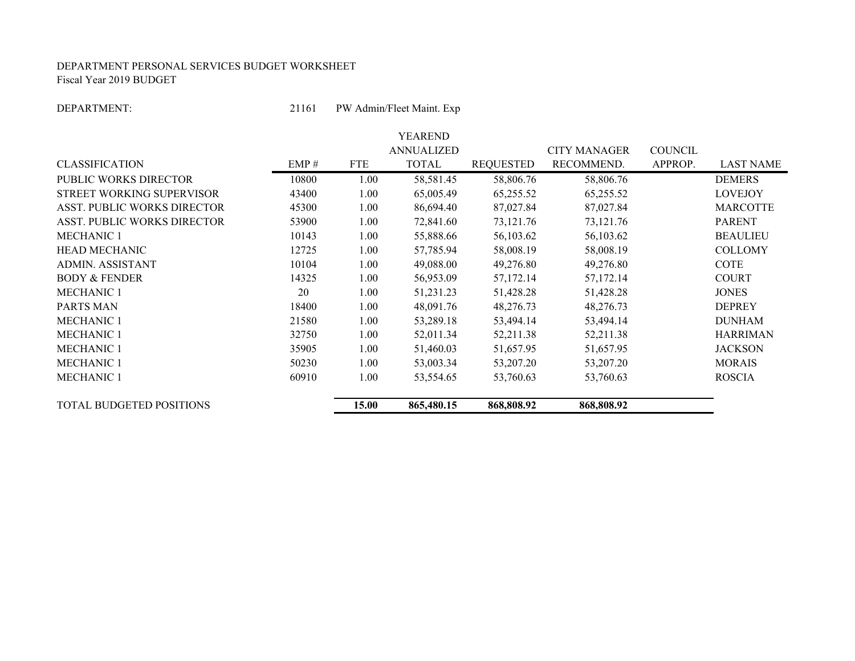#### DEPARTMENT PERSONAL SERVICES BUDGET WORKSHEET Fiscal Year 2019 BUDGET

DEPARTMENT:

21161 PW Admin/Fleet Maint. Exp

|                                    |       |            | YEAREND           |                  |                     |                |                  |
|------------------------------------|-------|------------|-------------------|------------------|---------------------|----------------|------------------|
|                                    |       |            | <b>ANNUALIZED</b> |                  | <b>CITY MANAGER</b> | <b>COUNCIL</b> |                  |
| <b>CLASSIFICATION</b>              | EMP#  | <b>FTE</b> | <b>TOTAL</b>      | <b>REQUESTED</b> | RECOMMEND.          | APPROP.        | <b>LAST NAME</b> |
| <b>PUBLIC WORKS DIRECTOR</b>       | 10800 | 1.00       | 58,581.45         | 58,806.76        | 58,806.76           |                | <b>DEMERS</b>    |
| STREET WORKING SUPERVISOR          | 43400 | 1.00       | 65,005.49         | 65,255.52        | 65,255.52           |                | <b>LOVEJOY</b>   |
| <b>ASST. PUBLIC WORKS DIRECTOR</b> | 45300 | 1.00       | 86,694.40         | 87,027.84        | 87,027.84           |                | <b>MARCOTTE</b>  |
| <b>ASST. PUBLIC WORKS DIRECTOR</b> | 53900 | 1.00       | 72,841.60         | 73,121.76        | 73, 121. 76         |                | <b>PARENT</b>    |
| <b>MECHANIC 1</b>                  | 10143 | 1.00       | 55,888.66         | 56,103.62        | 56,103.62           |                | <b>BEAULIEU</b>  |
| <b>HEAD MECHANIC</b>               | 12725 | 1.00       | 57,785.94         | 58,008.19        | 58,008.19           |                | <b>COLLOMY</b>   |
| <b>ADMIN. ASSISTANT</b>            | 10104 | 1.00       | 49,088.00         | 49,276.80        | 49,276.80           |                | COTE             |
| <b>BODY &amp; FENDER</b>           | 14325 | 1.00       | 56,953.09         | 57,172.14        | 57,172.14           |                | <b>COURT</b>     |
| <b>MECHANIC 1</b>                  | 20    | 1.00       | 51,231.23         | 51,428.28        | 51,428.28           |                | <b>JONES</b>     |
| PARTS MAN                          | 18400 | 1.00       | 48,091.76         | 48,276.73        | 48,276.73           |                | <b>DEPREY</b>    |
| <b>MECHANIC 1</b>                  | 21580 | 1.00       | 53,289.18         | 53,494.14        | 53,494.14           |                | <b>DUNHAM</b>    |
| <b>MECHANIC 1</b>                  | 32750 | 1.00       | 52,011.34         | 52,211.38        | 52,211.38           |                | <b>HARRIMAN</b>  |
| <b>MECHANIC 1</b>                  | 35905 | 1.00       | 51,460.03         | 51,657.95        | 51,657.95           |                | <b>JACKSON</b>   |
| <b>MECHANIC 1</b>                  | 50230 | 1.00       | 53,003.34         | 53,207.20        | 53,207.20           |                | <b>MORAIS</b>    |
| <b>MECHANIC 1</b>                  | 60910 | 1.00       | 53,554.65         | 53,760.63        | 53,760.63           |                | <b>ROSCIA</b>    |
| <b>TOTAL BUDGETED POSITIONS</b>    |       | 15.00      | 865,480.15        | 868,808.92       | 868,808.92          |                |                  |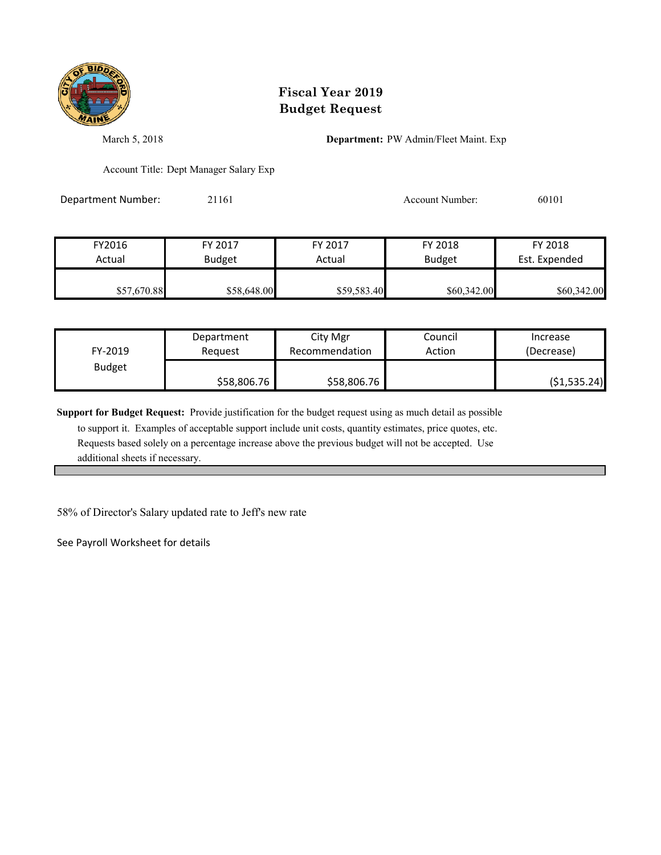

March 5, 2018 **Department:** PW Admin/Fleet Maint. Exp

Account Title: Dept Manager Salary Exp

Department Number: 21161 2010 2010 Account Number: 60101

| FY2016      | FY 2017       | FY 2017     | FY 2018       | FY 2018       |
|-------------|---------------|-------------|---------------|---------------|
| Actual      | <b>Budget</b> | Actual      | <b>Budget</b> | Est. Expended |
|             |               |             |               |               |
| \$57,670.88 | \$58,648.00   | \$59,583.40 | \$60,342.00   | \$60,342.00   |

| FY-2019       | Department  | City Mgr       | Council | Increase      |
|---------------|-------------|----------------|---------|---------------|
|               | Reauest     | Recommendation | Action  | (Decrease)    |
| <b>Budget</b> | \$58,806.76 | \$58,806.76    |         | ( \$1,535.24) |

**Support for Budget Request:** Provide justification for the budget request using as much detail as possible

 to support it. Examples of acceptable support include unit costs, quantity estimates, price quotes, etc. Requests based solely on a percentage increase above the previous budget will not be accepted. Use additional sheets if necessary.

58% of Director's Salary updated rate to Jeff's new rate

See Payroll Worksheet for details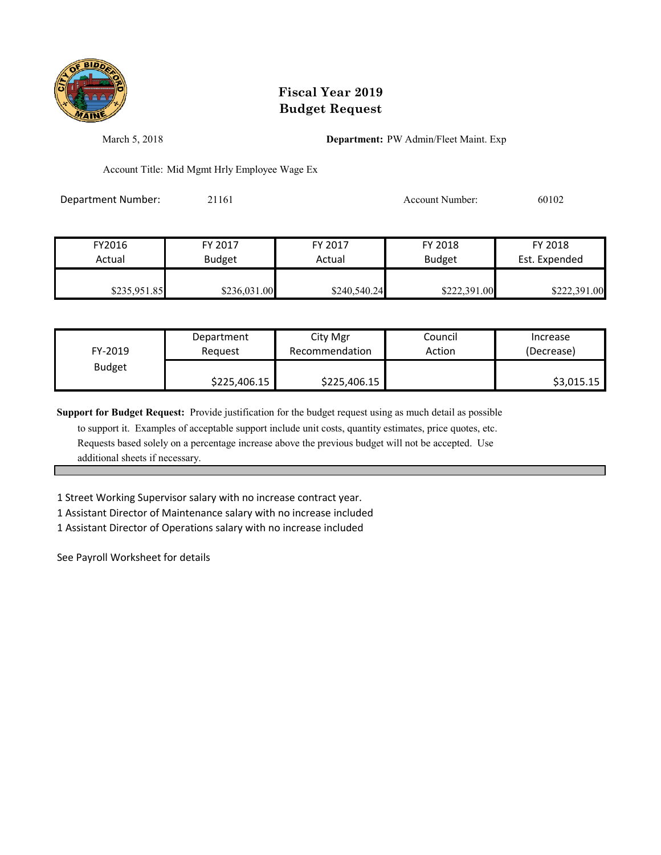

March 5, 2018 **Department:** PW Admin/Fleet Maint. Exp

Account Title: Mid Mgmt Hrly Employee Wage Ex

Department Number: 21161 Account Number: 60102

| FY2016       | FY 2017       | FY 2017      | FY 2018       | FY 2018       |
|--------------|---------------|--------------|---------------|---------------|
| Actual       | <b>Budget</b> | Actual       | <b>Budget</b> | Est. Expended |
| \$235,951.85 | \$236,031.00  | \$240,540.24 | \$222,391.00  | \$222,391.00  |

| FY-2019       | Department   | City Mgr       | Council | Increase   |
|---------------|--------------|----------------|---------|------------|
|               | Reauest      | Recommendation | Action  | (Decrease) |
| <b>Budget</b> | \$225,406.15 | \$225,406.15   |         | \$3,015.15 |

**Support for Budget Request:** Provide justification for the budget request using as much detail as possible

 to support it. Examples of acceptable support include unit costs, quantity estimates, price quotes, etc. Requests based solely on a percentage increase above the previous budget will not be accepted. Use additional sheets if necessary.

1 Street Working Supervisor salary with no increase contract year.

1 Assistant Director of Maintenance salary with no increase included

1 Assistant Director of Operations salary with no increase included

See Payroll Worksheet for details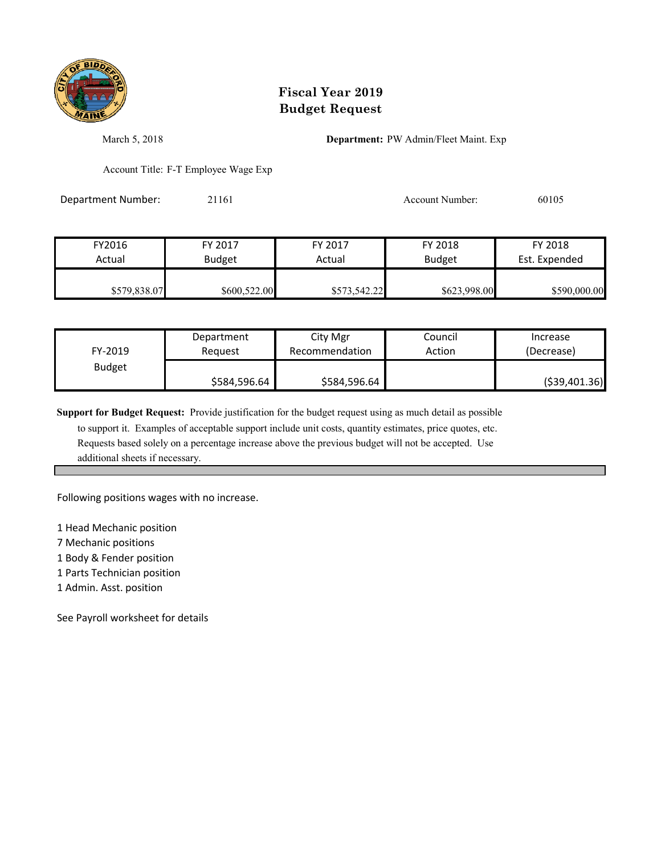

March 5, 2018 **Department:** PW Admin/Fleet Maint. Exp

Account Title: F-T Employee Wage Exp

Department Number: 21161 20105 20105 Account Number: 60105

| FY2016       | FY 2017       | FY 2017      | FY 2018       | FY 2018       |
|--------------|---------------|--------------|---------------|---------------|
| Actual       | <b>Budget</b> | Actual       | <b>Budget</b> | Est. Expended |
| \$579,838.07 | \$600,522.00  | \$573,542.22 | \$623,998.00  | \$590,000.00  |

| FY-2019       | Department   | City Mgr       | Council | Increase       |
|---------------|--------------|----------------|---------|----------------|
|               | Reauest      | Recommendation | Action  | (Decrease)     |
| <b>Budget</b> | \$584,596.64 | \$584,596.64   |         | ( \$39,401.36) |

**Support for Budget Request:** Provide justification for the budget request using as much detail as possible

 to support it. Examples of acceptable support include unit costs, quantity estimates, price quotes, etc. Requests based solely on a percentage increase above the previous budget will not be accepted. Use additional sheets if necessary.

Following positions wages with no increase.

1 Head Mechanic position

7 Mechanic positions

1 Body & Fender position

1 Parts Technician position

1 Admin. Asst. position

See Payroll worksheet for details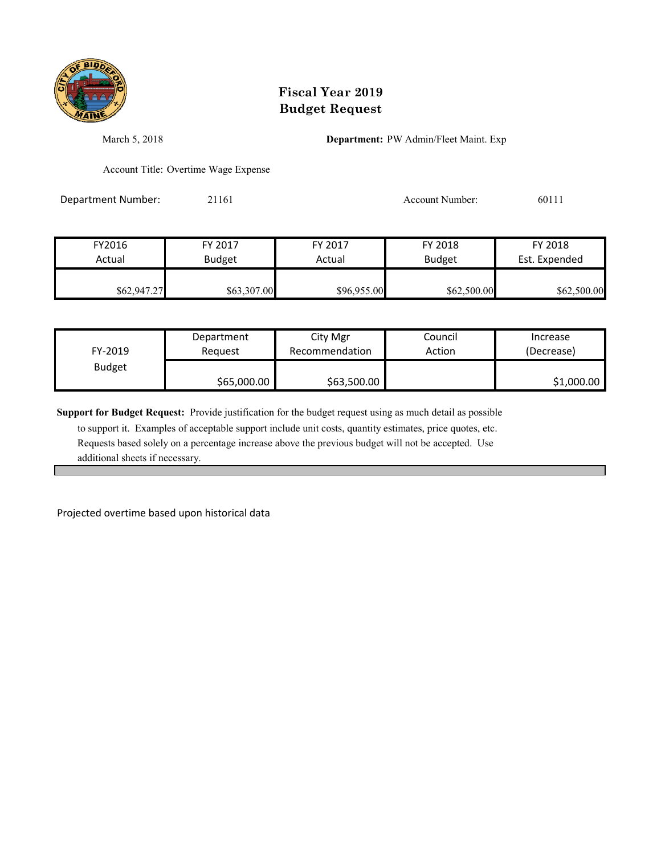

March 5, 2018 **Department:** PW Admin/Fleet Maint. Exp

Account Title: Overtime Wage Expense

Department Number: 21161 2011 2010 Account Number: 60111

| FY2016      | FY 2017       | FY 2017     | FY 2018       | FY 2018       |
|-------------|---------------|-------------|---------------|---------------|
| Actual      | <b>Budget</b> | Actual      | <b>Budget</b> | Est. Expended |
| \$62,947.27 | \$63,307.00   | \$96,955.00 | \$62,500.00   | \$62,500.00   |

| FY-2019       | Department  | City Mgr       | Council | Increase   |
|---------------|-------------|----------------|---------|------------|
|               | Reauest     | Recommendation | Action  | (Decrease) |
| <b>Budget</b> | \$65,000.00 | \$63,500.00    |         | \$1,000.00 |

**Support for Budget Request:** Provide justification for the budget request using as much detail as possible

 to support it. Examples of acceptable support include unit costs, quantity estimates, price quotes, etc. Requests based solely on a percentage increase above the previous budget will not be accepted. Use additional sheets if necessary.

Projected overtime based upon historical data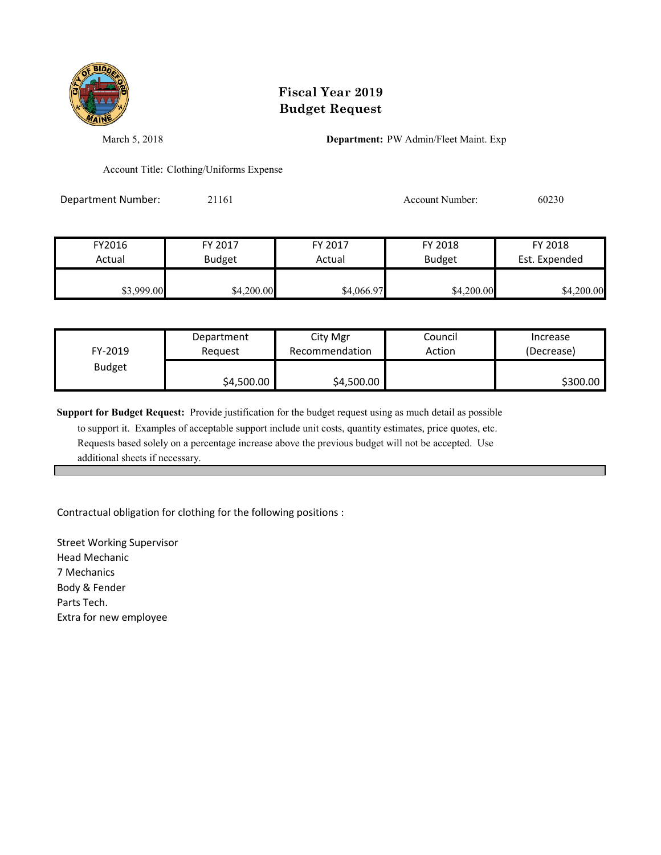

March 5, 2018 **Department:** PW Admin/Fleet Maint. Exp

Account Title: Clothing/Uniforms Expense

Department Number: 21161 20230 Account Number: 60230

| FY2016     | FY 2017       | FY 2017    | FY 2018       | FY 2018       |
|------------|---------------|------------|---------------|---------------|
| Actual     | <b>Budget</b> | Actual     | <b>Budget</b> | Est. Expended |
| \$3,999.00 | \$4,200.00    | \$4,066.97 | \$4,200.00    | \$4,200.00    |

| FY-2019       | Department | City Mgr       | Council | Increase   |
|---------------|------------|----------------|---------|------------|
|               | Request    | Recommendation | Action  | (Decrease) |
| <b>Budget</b> | \$4,500.00 | \$4,500.00     |         | \$300.00   |

**Support for Budget Request:** Provide justification for the budget request using as much detail as possible

 to support it. Examples of acceptable support include unit costs, quantity estimates, price quotes, etc. Requests based solely on a percentage increase above the previous budget will not be accepted. Use additional sheets if necessary.

Contractual obligation for clothing for the following positions :

Street Working Supervisor Head Mechanic 7 Mechanics Body & Fender Parts Tech. Extra for new employee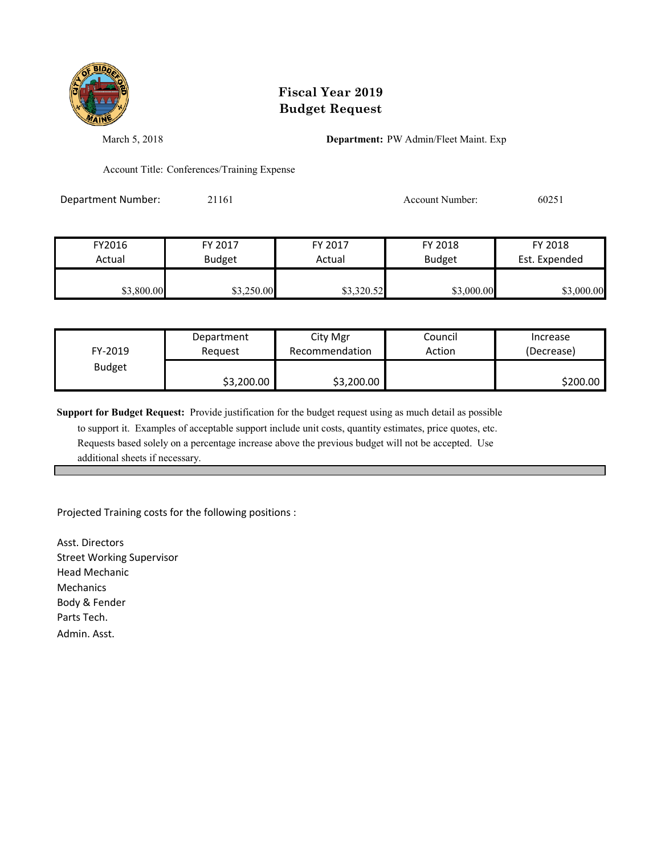

March 5, 2018 **Department:** PW Admin/Fleet Maint. Exp

Account Title: Conferences/Training Expense

Department Number: 21161 20251

| FY2016     | FY 2017       | FY 2017    | FY 2018       | FY 2018       |
|------------|---------------|------------|---------------|---------------|
| Actual     | <b>Budget</b> | Actual     | <b>Budget</b> | Est. Expended |
|            |               |            |               |               |
| \$3,800.00 | \$3,250.00    | \$3,320.52 | \$3,000.00    | \$3,000.00    |

| FY-2019       | Department | City Mgr       | Council | Increase   |
|---------------|------------|----------------|---------|------------|
|               | Reauest    | Recommendation | Action  | (Decrease) |
| <b>Budget</b> | \$3,200.00 | \$3,200.00     |         | \$200.00   |

**Support for Budget Request:** Provide justification for the budget request using as much detail as possible

 to support it. Examples of acceptable support include unit costs, quantity estimates, price quotes, etc. Requests based solely on a percentage increase above the previous budget will not be accepted. Use additional sheets if necessary.

Projected Training costs for the following positions :

Asst. Directors Street Working Supervisor Head Mechanic Mechanics Body & Fender Parts Tech. Admin. Asst.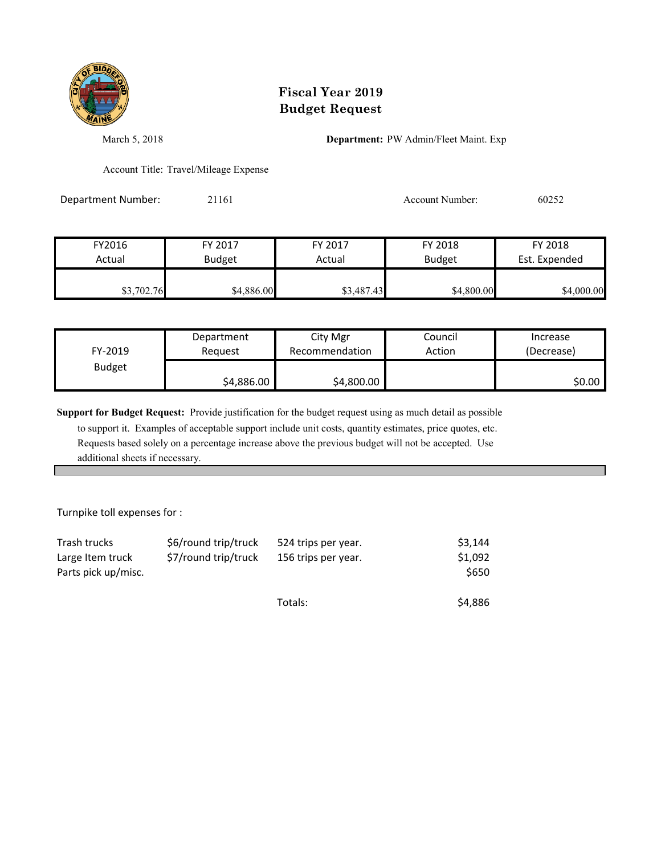

March 5, 2018 **Department:** PW Admin/Fleet Maint. Exp

Account Title: Travel/Mileage Expense

Department Number: 21161 20052 2016 20252

| FY2016     | FY 2017       | FY 2017    | FY 2018       | FY 2018       |
|------------|---------------|------------|---------------|---------------|
| Actual     | <b>Budget</b> | Actual     | <b>Budget</b> | Est. Expended |
|            |               |            |               |               |
| \$3,702.76 | \$4,886.00    | \$3,487.43 | \$4,800.00    | \$4,000.00    |

| FY-2019       | Department | City Mgr       | Council | Increase   |
|---------------|------------|----------------|---------|------------|
|               | Reauest    | Recommendation | Action  | (Decrease) |
| <b>Budget</b> | \$4,886.00 | \$4,800.00     |         | \$0.00     |

**Support for Budget Request:** Provide justification for the budget request using as much detail as possible

 to support it. Examples of acceptable support include unit costs, quantity estimates, price quotes, etc. Requests based solely on a percentage increase above the previous budget will not be accepted. Use additional sheets if necessary.

Turnpike toll expenses for :

| Trash trucks                            | \$6/round trip/truck | 524 trips per year. | \$3.144          |
|-----------------------------------------|----------------------|---------------------|------------------|
| Large Item truck<br>Parts pick up/misc. | \$7/round trip/truck | 156 trips per year. | \$1,092<br>\$650 |
|                                         |                      | Totals:             | \$4,886          |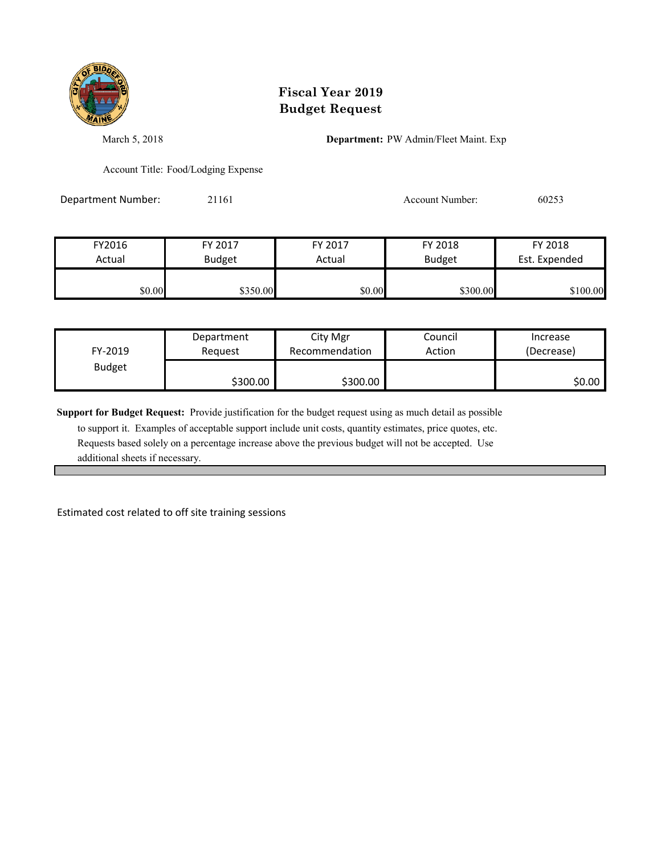

March 5, 2018 **Department:** PW Admin/Fleet Maint. Exp

Account Title: Food/Lodging Expense

Department Number: 21161 Account Number: 60253

FY2016 FY 2017 FY 2017 FY 2018 FY 2018 Actual Budget **Actual Budget** Actual Budget Est. Expended \$1,000 \$350.00 \$350.00 \$300.00 \$300.00 \$300.00 \$100.00

| FY-2019       | Department | City Mgr       | Council | Increase   |
|---------------|------------|----------------|---------|------------|
|               | Reauest    | Recommendation | Action  | (Decrease) |
| <b>Budget</b> | \$300.00   | \$300.00       |         | \$0.00     |

**Support for Budget Request:** Provide justification for the budget request using as much detail as possible

 to support it. Examples of acceptable support include unit costs, quantity estimates, price quotes, etc. Requests based solely on a percentage increase above the previous budget will not be accepted. Use additional sheets if necessary.

Estimated cost related to off site training sessions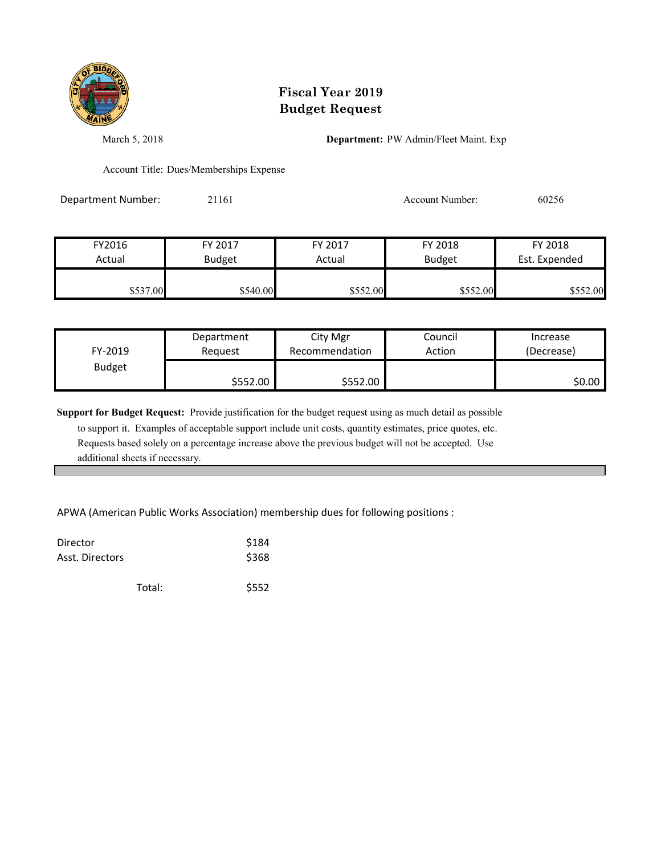

March 5, 2018 **Department:** PW Admin/Fleet Maint. Exp

Account Title: Dues/Memberships Expense

Department Number: 21161 20256 20256

| FY2016   | FY 2017       | FY 2017  | FY 2018       | FY 2018       |
|----------|---------------|----------|---------------|---------------|
| Actual   | <b>Budget</b> | Actual   | <b>Budget</b> | Est. Expended |
| \$537.00 | \$540.00      | \$552.00 | \$552.00      | \$552.00      |

| FY-2019       | Department | City Mgr       | Council | Increase   |
|---------------|------------|----------------|---------|------------|
|               | Reauest    | Recommendation | Action  | (Decrease) |
| <b>Budget</b> | \$552.00   | \$552.00       |         | \$0.00     |

**Support for Budget Request:** Provide justification for the budget request using as much detail as possible

 to support it. Examples of acceptable support include unit costs, quantity estimates, price quotes, etc. Requests based solely on a percentage increase above the previous budget will not be accepted. Use additional sheets if necessary.

APWA (American Public Works Association) membership dues for following positions :

| Director<br>Asst. Directors |        | \$184<br>\$368 |
|-----------------------------|--------|----------------|
|                             | Total: | \$552          |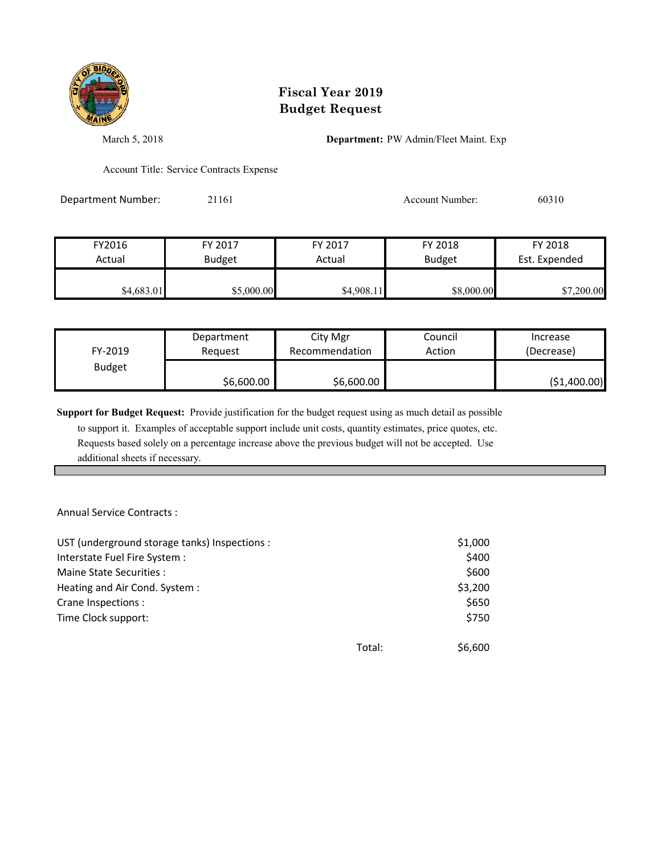

March 5, 2018 **Department:** PW Admin/Fleet Maint. Exp

Account Title: Service Contracts Expense

Department Number: 21161 200310 Account Number: 60310

| FY2016     | FY 2017       | FY 2017    | FY 2018       | FY 2018       |
|------------|---------------|------------|---------------|---------------|
| Actual     | <b>Budget</b> | Actual     | <b>Budget</b> | Est. Expended |
| \$4,683.01 | \$5,000.00    | \$4,908.11 | \$8,000.00    | \$7,200.00    |

| FY-2019       | Department | City Mgr       | Council | Increase     |
|---------------|------------|----------------|---------|--------------|
|               | Reauest    | Recommendation | Action  | (Decrease)   |
| <b>Budget</b> | \$6,600.00 | \$6,600.00     |         | (\$1,400.00) |

**Support for Budget Request:** Provide justification for the budget request using as much detail as possible

 to support it. Examples of acceptable support include unit costs, quantity estimates, price quotes, etc. Requests based solely on a percentage increase above the previous budget will not be accepted. Use additional sheets if necessary.

Annual Service Contracts :

| UST (underground storage tanks) Inspections : |        | \$1,000 |
|-----------------------------------------------|--------|---------|
| Interstate Fuel Fire System :                 |        | \$400   |
| Maine State Securities :                      |        | \$600   |
| Heating and Air Cond. System:                 |        | \$3,200 |
| Crane Inspections :                           |        | \$650   |
| Time Clock support:                           |        | \$750   |
|                                               |        |         |
|                                               | Total: | \$6,600 |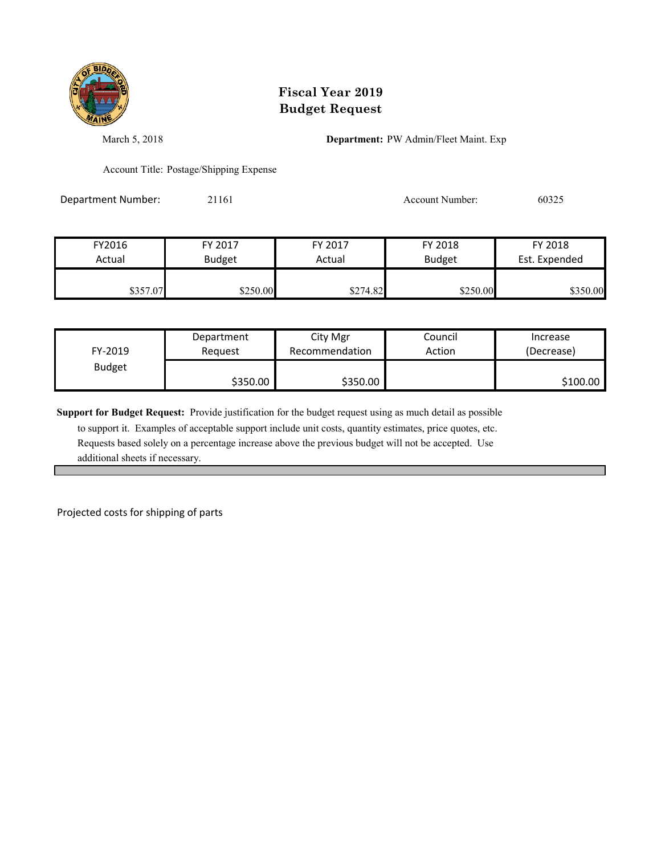

March 5, 2018 **Department:** PW Admin/Fleet Maint. Exp

Account Title: Postage/Shipping Expense

Department Number: 21161 Account Number: 60325

FY2016 FY 2017 FY 2017 FY 2018 FY 2018 Actual Budget **Actual Budget** Actual Budget Est. Expended \$357.07 \$250.00 \$250.00 \$274.82 \$250.00 \$350.00

| FY-2019       | Department | City Mgr       | Council | Increase   |
|---------------|------------|----------------|---------|------------|
|               | Reauest    | Recommendation | Action  | (Decrease) |
| <b>Budget</b> | \$350.00   | \$350.00       |         | \$100.00   |

**Support for Budget Request:** Provide justification for the budget request using as much detail as possible

 to support it. Examples of acceptable support include unit costs, quantity estimates, price quotes, etc. Requests based solely on a percentage increase above the previous budget will not be accepted. Use additional sheets if necessary.

Projected costs for shipping of parts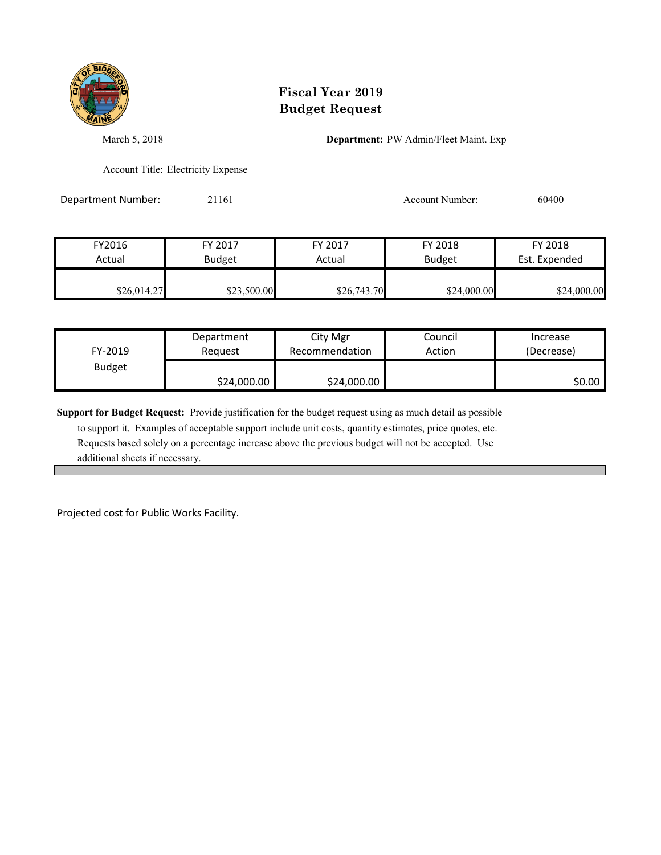

March 5, 2018 **Department:** PW Admin/Fleet Maint. Exp

Account Title: Electricity Expense

Department Number: 21161 2000 2011 2010 Account Number: 60400

| FY2016      | FY 2017       | FY 2017     | FY 2018       | FY 2018       |
|-------------|---------------|-------------|---------------|---------------|
| Actual      | <b>Budget</b> | Actual      | <b>Budget</b> | Est. Expended |
|             |               |             |               |               |
| \$26,014.27 | \$23,500.00   | \$26,743.70 | \$24,000.00   | \$24,000.00   |

| FY-2019       | Department  | City Mgr       | Council | Increase   |
|---------------|-------------|----------------|---------|------------|
|               | Reauest     | Recommendation | Action  | (Decrease) |
| <b>Budget</b> | \$24,000.00 | \$24,000.00    |         | \$0.00     |

**Support for Budget Request:** Provide justification for the budget request using as much detail as possible

 to support it. Examples of acceptable support include unit costs, quantity estimates, price quotes, etc. Requests based solely on a percentage increase above the previous budget will not be accepted. Use additional sheets if necessary.

Projected cost for Public Works Facility.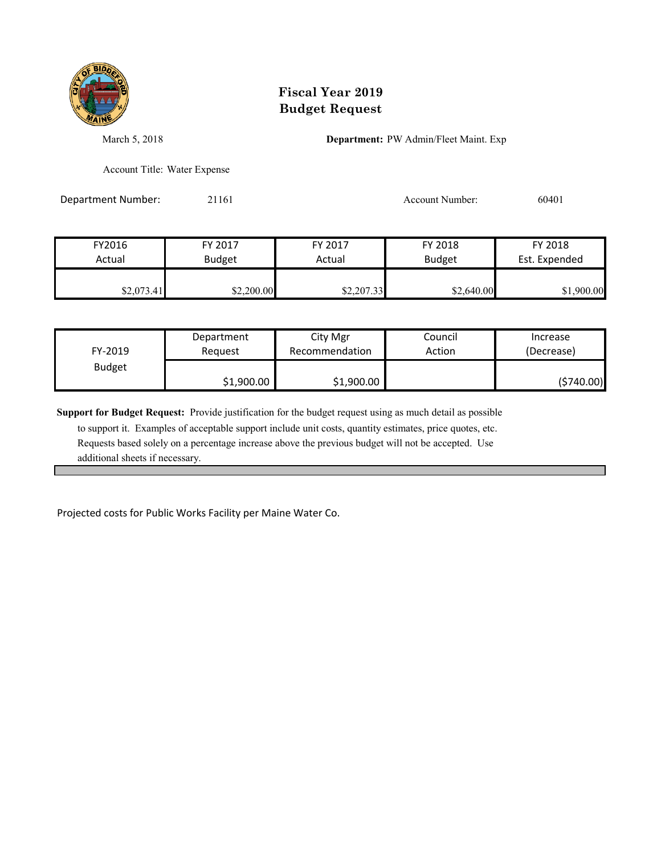

March 5, 2018 **Department:** PW Admin/Fleet Maint. Exp

Account Title: Water Expense

Department Number: 21161 2010 1 2010 Account Number: 60401

| FY2016     | FY 2017       | FY 2017    | FY 2018       | FY 2018       |
|------------|---------------|------------|---------------|---------------|
| Actual     | <b>Budget</b> | Actual     | <b>Budget</b> | Est. Expended |
| \$2,073.41 | \$2,200.00    | \$2,207.33 | \$2,640.00    | \$1,900.00    |

| FY-2019       | Department | City Mgr       | Council | Increase   |
|---------------|------------|----------------|---------|------------|
|               | Reauest    | Recommendation | Action  | (Decrease) |
| <b>Budget</b> | \$1,900.00 | \$1,900.00     |         | (\$740.00) |

**Support for Budget Request:** Provide justification for the budget request using as much detail as possible

 to support it. Examples of acceptable support include unit costs, quantity estimates, price quotes, etc. Requests based solely on a percentage increase above the previous budget will not be accepted. Use additional sheets if necessary.

Projected costs for Public Works Facility per Maine Water Co.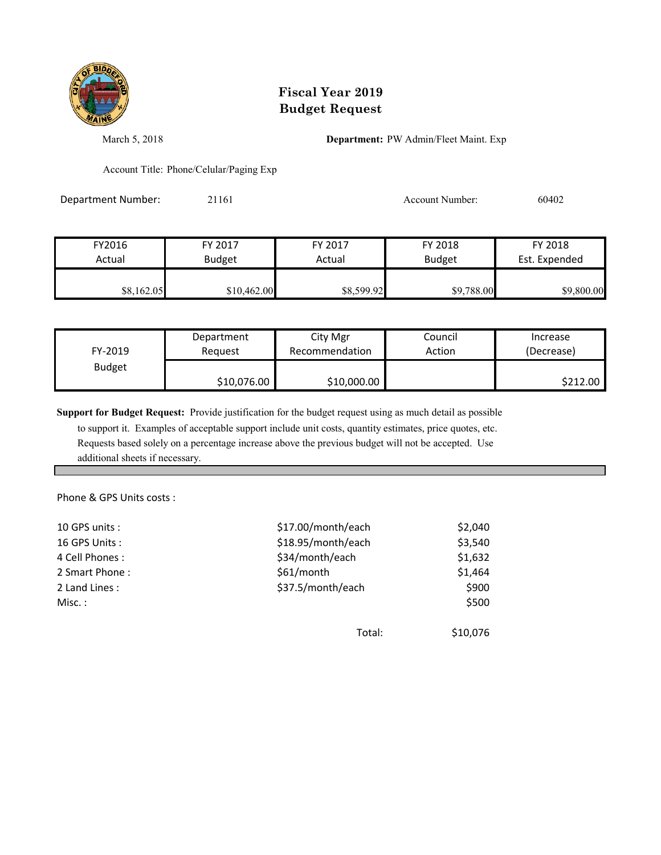

March 5, 2018 **Department:** PW Admin/Fleet Maint. Exp

Account Title: Phone/Celular/Paging Exp

Department Number: 21161 Account Number: 60402

| FY2016     | FY 2017       | FY 2017    | FY 2018       | FY 2018       |
|------------|---------------|------------|---------------|---------------|
| Actual     | <b>Budget</b> | Actual     | <b>Budget</b> | Est. Expended |
|            |               |            |               |               |
| \$8,162.05 | \$10,462.00   | \$8,599.92 | \$9,788.00    | \$9,800.00    |

| FY-2019       | Department  | City Mgr       | Council | Increase   |
|---------------|-------------|----------------|---------|------------|
|               | Reauest     | Recommendation | Action  | (Decrease) |
| <b>Budget</b> | \$10,076.00 | \$10,000.00    |         | \$212.00   |

**Support for Budget Request:** Provide justification for the budget request using as much detail as possible

 to support it. Examples of acceptable support include unit costs, quantity estimates, price quotes, etc. Requests based solely on a percentage increase above the previous budget will not be accepted. Use additional sheets if necessary.

Phone & GPS Units costs :

| 10 GPS units:  | \$17.00/month/each | \$2,040  |
|----------------|--------------------|----------|
| 16 GPS Units:  | \$18.95/month/each | \$3,540  |
| 4 Cell Phones: | \$34/month/each    | \$1,632  |
| 2 Smart Phone: | \$61/month         | \$1,464  |
| 2 Land Lines:  | \$37.5/month/each  | \$900    |
| Misc. :        |                    | \$500    |
|                |                    |          |
|                | Total:             | \$10,076 |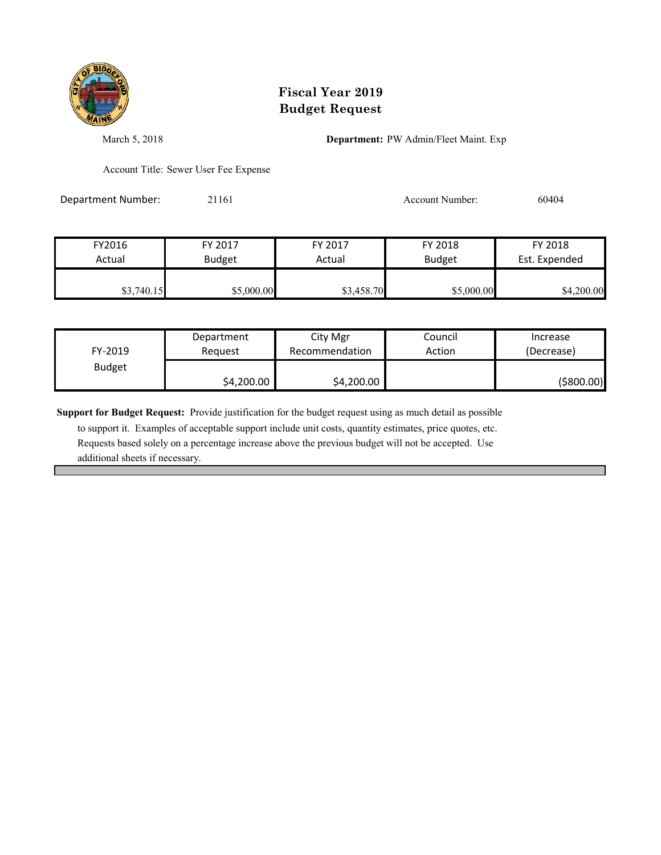

March 5, 2018 **Department:** PW Admin/Fleet Maint. Exp

Account Title: Sewer User Fee Expense

Department Number: 21161 2010 2010 2020 Account Number: 60404

FY2016 FY 2017 FY 2017 FY 2018 FY 2018 Actual Budget **Actual Budget** Actual Budget Est. Expended \$3,740.15 \$5,000.00 \$5,000.00 \$5,000.00 \$4,200.00

| FY-2019       | Department | City Mgr       | Council | Increase   |
|---------------|------------|----------------|---------|------------|
|               | Reauest    | Recommendation | Action  | (Decrease) |
| <b>Budget</b> | \$4,200.00 | \$4,200.00     |         | (\$800.00) |

**Support for Budget Request:** Provide justification for the budget request using as much detail as possible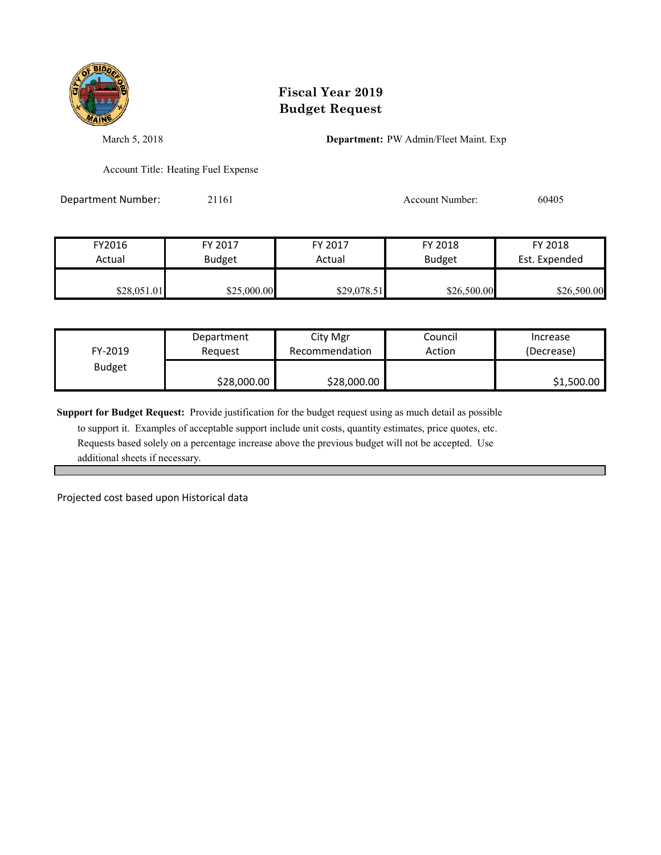

March 5, 2018 **Department:** PW Admin/Fleet Maint. Exp

Account Title: Heating Fuel Expense

Department Number: 21161 2006 2010 2011 Account Number: 60405

| FY2016      | FY 2017       | FY 2017     | FY 2018       | FY 2018       |
|-------------|---------------|-------------|---------------|---------------|
| Actual      | <b>Budget</b> | Actual      | <b>Budget</b> | Est. Expended |
|             |               |             |               |               |
| \$28,051.01 | \$25,000.00   | \$29,078.51 | \$26,500.00   | \$26,500.00   |

| FY-2019       | Department  | City Mgr       | Council | Increase   |
|---------------|-------------|----------------|---------|------------|
|               | Reauest     | Recommendation | Action  | (Decrease) |
| <b>Budget</b> | \$28,000.00 | \$28,000.00    |         | \$1,500.00 |

**Support for Budget Request:** Provide justification for the budget request using as much detail as possible

 to support it. Examples of acceptable support include unit costs, quantity estimates, price quotes, etc. Requests based solely on a percentage increase above the previous budget will not be accepted. Use additional sheets if necessary.

Projected cost based upon Historical data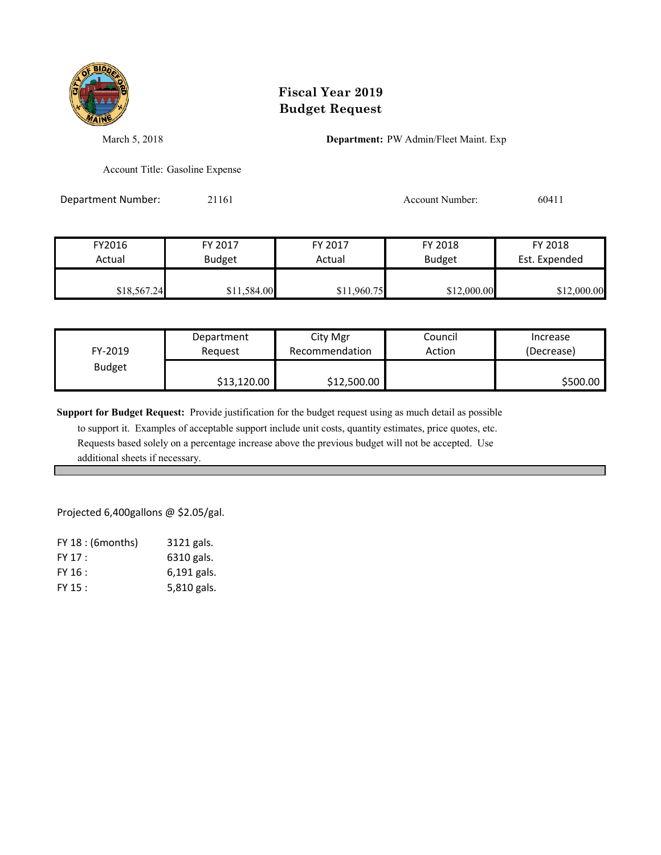

March 5, 2018 **Department:** PW Admin/Fleet Maint. Exp

Account Title: Gasoline Expense

Department Number: 21161 2011 2012 2020 Account Number: 60411

| FY2016      | FY 2017       | FY 2017     | FY 2018       | FY 2018       |
|-------------|---------------|-------------|---------------|---------------|
| Actual      | <b>Budget</b> | Actual      | <b>Budget</b> | Est. Expended |
|             |               |             |               |               |
| \$18,567.24 | \$11,584.00   | \$11,960.75 | \$12,000.00   | \$12,000.00   |

| FY-2019       | Department  | City Mgr       | Council | Increase   |
|---------------|-------------|----------------|---------|------------|
|               | Reauest     | Recommendation | Action  | (Decrease) |
| <b>Budget</b> | \$13,120.00 | \$12,500.00    |         | \$500.00   |

**Support for Budget Request:** Provide justification for the budget request using as much detail as possible

 to support it. Examples of acceptable support include unit costs, quantity estimates, price quotes, etc. Requests based solely on a percentage increase above the previous budget will not be accepted. Use additional sheets if necessary.

Projected 6,400gallons @ \$2.05/gal.

| $FY$ 18 : (6 months) | 3121 gals.  |
|----------------------|-------------|
| FY 17 :              | 6310 gals.  |
| FY 16 :              | 6,191 gals. |
| FY 15 :              | 5,810 gals. |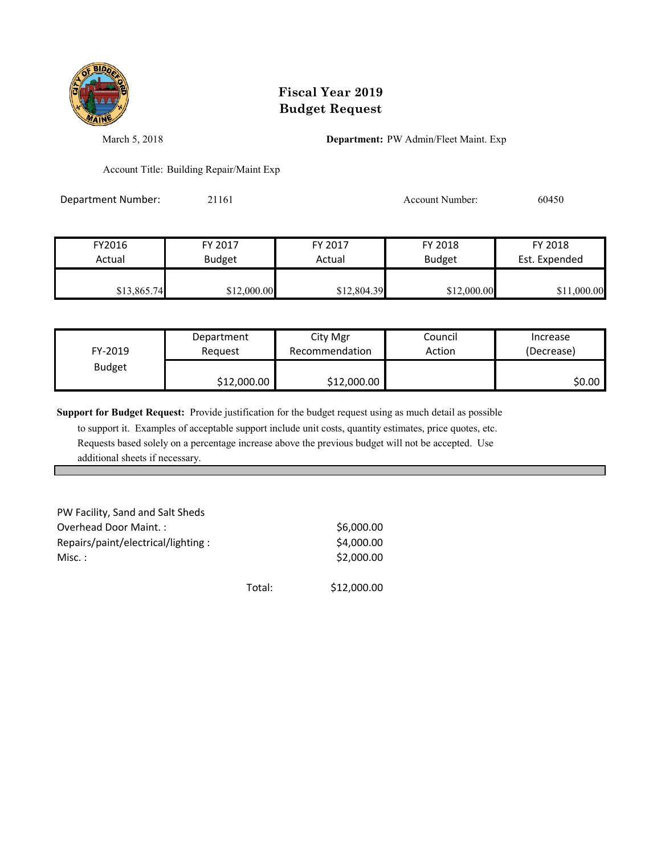

March 5, 2018 **Department:** PW Admin/Fleet Maint. Exp

Account Title: Building Repair/Maint Exp

Department Number: 21161 2011 2012 2020 Account Number: 60450

FY2016 FY 2017 FY 2017 FY 2018 FY 2018 Actual Budget **Actual Budget** Actual Budget Est. Expended \$13,865.74 \$12,000.00 \$12,804.39 \$12,000.00 \$11,000.00

| FY-2019       | Department  | City Mgr       | Council | Increase   |
|---------------|-------------|----------------|---------|------------|
|               | Reauest     | Recommendation | Action  | (Decrease) |
| <b>Budget</b> | \$12,000.00 | \$12,000.00    |         | \$0.00     |

**Support for Budget Request:** Provide justification for the budget request using as much detail as possible

| PW Facility, Sand and Salt Sheds   |        |             |
|------------------------------------|--------|-------------|
| Overhead Door Maint.:              |        | \$6,000.00  |
| Repairs/paint/electrical/lighting: |        | \$4,000.00  |
| Misc. :                            |        | \$2,000.00  |
|                                    |        |             |
|                                    | Total: | \$12,000.00 |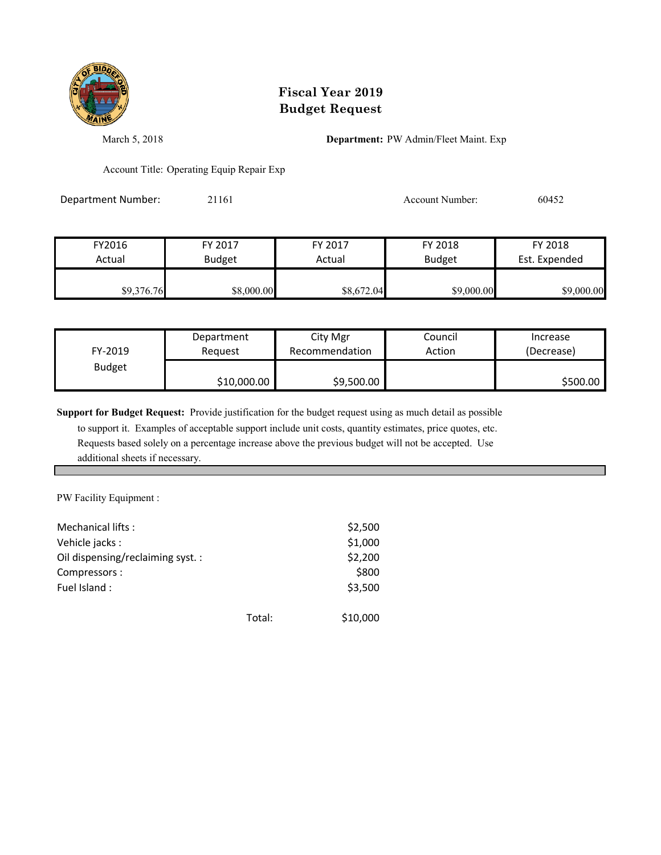

March 5, 2018 **Department:** PW Admin/Fleet Maint. Exp

Account Title: Operating Equip Repair Exp

Department Number: 21161 2008 2011 2010 Account Number: 60452

| FY2016     | FY 2017       | FY 2017    | FY 2018       | FY 2018       |
|------------|---------------|------------|---------------|---------------|
| Actual     | <b>Budget</b> | Actual     | <b>Budget</b> | Est. Expended |
| \$9,376.76 | \$8,000.00    | \$8,672.04 | \$9,000.00    | \$9,000.00    |

| FY-2019       | Department  | City Mgr       | Council | Increase   |
|---------------|-------------|----------------|---------|------------|
|               | Reauest     | Recommendation | Action  | (Decrease) |
| <b>Budget</b> | \$10,000.00 | \$9,500.00     |         | \$500.00   |

**Support for Budget Request:** Provide justification for the budget request using as much detail as possible

 to support it. Examples of acceptable support include unit costs, quantity estimates, price quotes, etc. Requests based solely on a percentage increase above the previous budget will not be accepted. Use additional sheets if necessary.

PW Facility Equipment :

| Mechanical lifts:<br>Vehicle jacks:<br>Oil dispensing/reclaiming syst.:<br>Compressors:<br>Fuel Island: |        | \$2,500<br>\$1,000<br>\$2,200<br>\$800<br>\$3,500 |
|---------------------------------------------------------------------------------------------------------|--------|---------------------------------------------------|
|                                                                                                         | Total: | \$10,000                                          |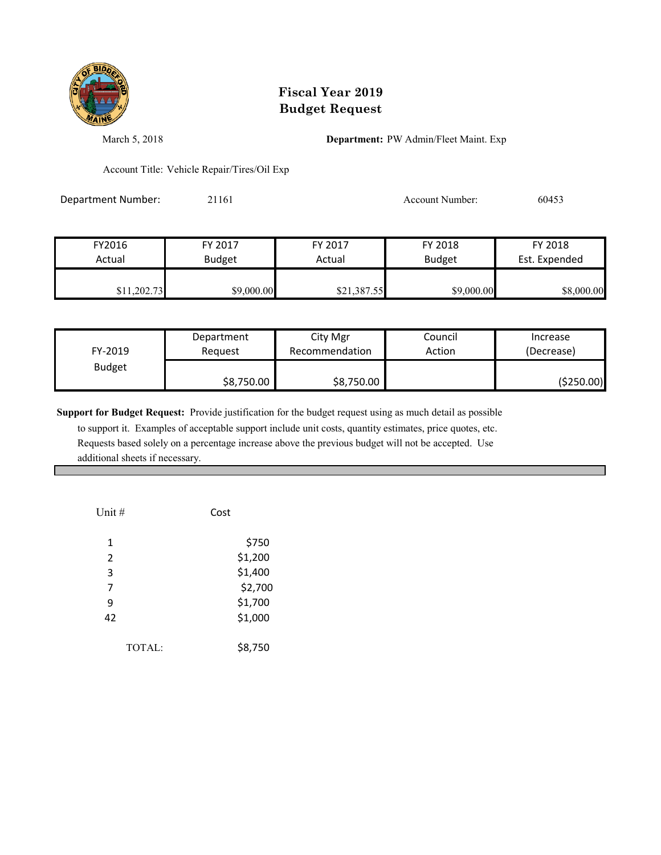

March 5, 2018 **Department:** PW Admin/Fleet Maint. Exp

Account Title: Vehicle Repair/Tires/Oil Exp

Department Number: 21161 2003 2016 2017 Account Number: 60453

| FY2016      | FY 2017       | FY 2017     | FY 2018       | FY 2018       |
|-------------|---------------|-------------|---------------|---------------|
| Actual      | <b>Budget</b> | Actual      | <b>Budget</b> | Est. Expended |
|             |               |             |               |               |
| \$11,202.73 | \$9,000.00    | \$21,387.55 | \$9,000.00    | \$8,000.00    |

| FY-2019       | Department | City Mgr       | Council | Increase   |
|---------------|------------|----------------|---------|------------|
|               | Reauest    | Recommendation | Action  | (Decrease) |
| <b>Budget</b> | \$8,750.00 | \$8,750.00     |         | (\$250.00) |

**Support for Budget Request:** Provide justification for the budget request using as much detail as possible

| Unit # | Cost    |
|--------|---------|
| 1      | \$750   |
| 2      | \$1,200 |
| 3      | \$1,400 |
| 7      | \$2,700 |
| 9      | \$1,700 |
| 42     | \$1,000 |
| TOTAL: | \$8,750 |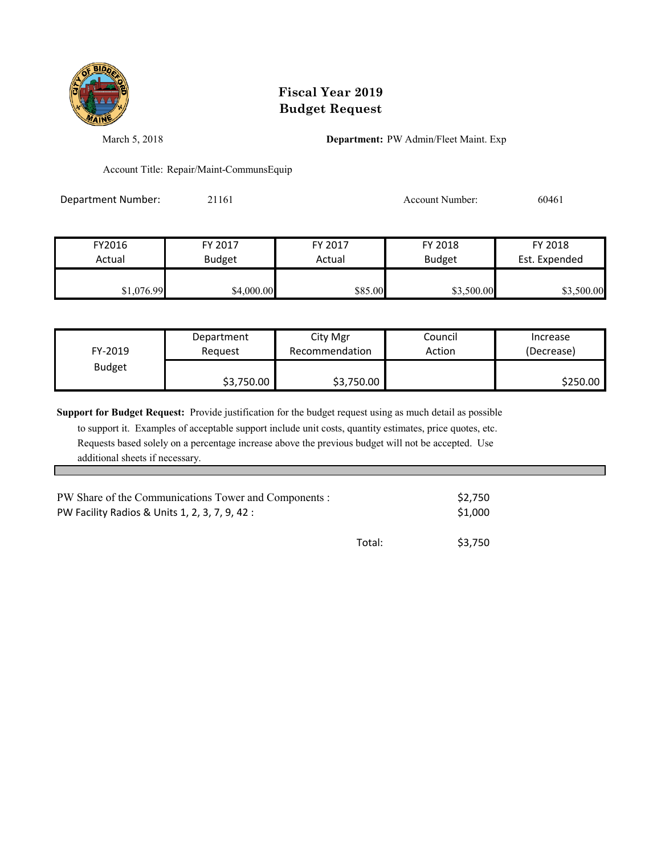

March 5, 2018 **Department:** PW Admin/Fleet Maint. Exp

Account Title: Repair/Maint-CommunsEquip

Department Number: 21161 2016 2016 2017 Account Number: 60461

| FY2016     | FY 2017       | FY 2017 | FY 2018       | FY 2018       |
|------------|---------------|---------|---------------|---------------|
| Actual     | <b>Budget</b> | Actual  | <b>Budget</b> | Est. Expended |
|            |               |         |               |               |
| \$1,076.99 | \$4,000.00    | \$85.00 | \$3,500.00    | \$3,500.00    |

| FY-2019       | Department | City Mgr       | Council | Increase   |
|---------------|------------|----------------|---------|------------|
|               | Reauest    | Recommendation | Action  | (Decrease) |
| <b>Budget</b> | \$3,750.00 | \$3,750.00     |         | \$250.00   |

**Support for Budget Request:** Provide justification for the budget request using as much detail as possible to support it. Examples of acceptable support include unit costs, quantity estimates, price quotes, etc. Requests based solely on a percentage increase above the previous budget will not be accepted. Use additional sheets if necessary.

| PW Share of the Communications Tower and Components : | \$2.750 |         |
|-------------------------------------------------------|---------|---------|
| PW Facility Radios & Units 1, 2, 3, 7, 9, 42 :        | \$1,000 |         |
|                                                       | Total:  | \$3.750 |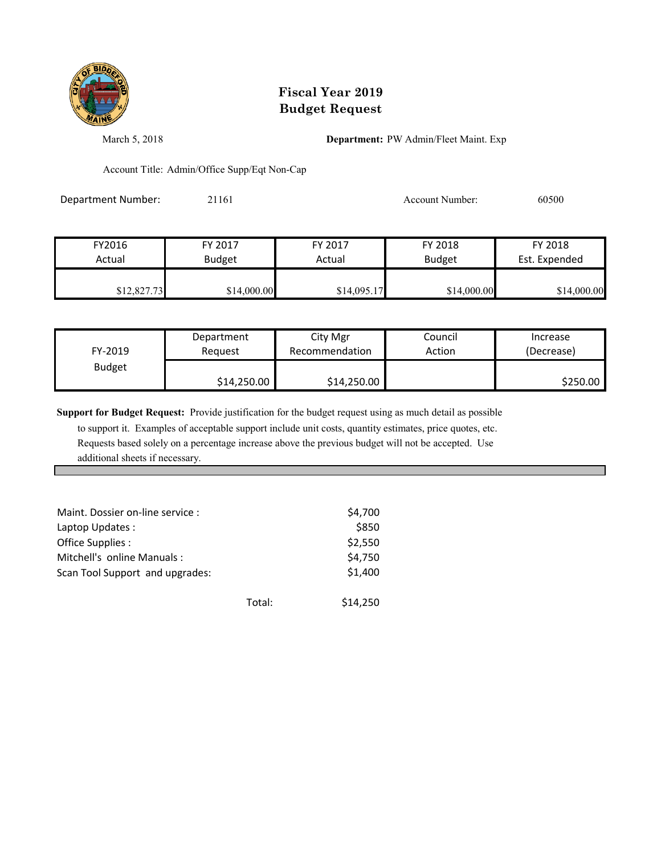

March 5, 2018 **Department:** PW Admin/Fleet Maint. Exp

Account Title: Admin/Office Supp/Eqt Non-Cap

Department Number: 21161 200300 2016 2016 Account Number: 60500

| FY2016      | FY 2017       | FY 2017     | FY 2018       | FY 2018       |
|-------------|---------------|-------------|---------------|---------------|
| Actual      | <b>Budget</b> | Actual      | <b>Budget</b> | Est. Expended |
|             |               |             |               |               |
| \$12,827.73 | \$14,000.00   | \$14,095.17 | \$14,000.00   | \$14,000.00   |

| FY-2019       | Department  | City Mgr       | Council | Increase   |
|---------------|-------------|----------------|---------|------------|
|               | Reauest     | Recommendation | Action  | (Decrease) |
| <b>Budget</b> | \$14,250.00 | \$14,250.00    |         | \$250.00   |

**Support for Budget Request:** Provide justification for the budget request using as much detail as possible

| Maint. Dossier on-line service : |        | \$4,700  |
|----------------------------------|--------|----------|
| Laptop Updates :                 |        | \$850    |
| Office Supplies :                |        | \$2,550  |
| Mitchell's online Manuals:       |        | \$4,750  |
| Scan Tool Support and upgrades:  |        | \$1,400  |
|                                  | Total: | \$14,250 |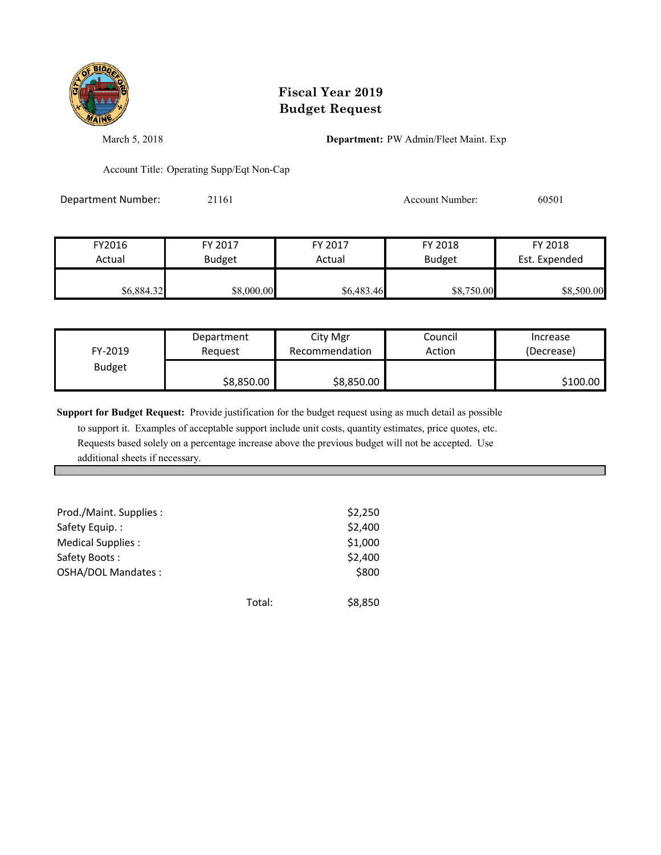

March 5, 2018 **Department:** PW Admin/Fleet Maint. Exp

Account Title: Operating Supp/Eqt Non-Cap

Department Number: 21161 2008 2011 2016 Account Number: 60501

| FY2016     | FY 2017       | FY 2017    | FY 2018       | FY 2018       |
|------------|---------------|------------|---------------|---------------|
| Actual     | <b>Budget</b> | Actual     | <b>Budget</b> | Est. Expended |
| \$6,884.32 | \$8,000.00    | \$6,483.46 | \$8,750.00    | \$8,500.00    |

| FY-2019       | Department | City Mgr       | Council | Increase   |
|---------------|------------|----------------|---------|------------|
|               | Reauest    | Recommendation | Action  | (Decrease) |
| <b>Budget</b> | \$8,850.00 | \$8,850.00     |         | \$100.00   |

**Support for Budget Request:** Provide justification for the budget request using as much detail as possible

| Prod./Maint. Supplies :   |        | \$2,250 |
|---------------------------|--------|---------|
| Safety Equip.:            |        | \$2,400 |
| Medical Supplies :        |        | \$1,000 |
| Safety Boots:             |        | \$2,400 |
| <b>OSHA/DOL Mandates:</b> |        | \$800   |
|                           | Total: | \$8,850 |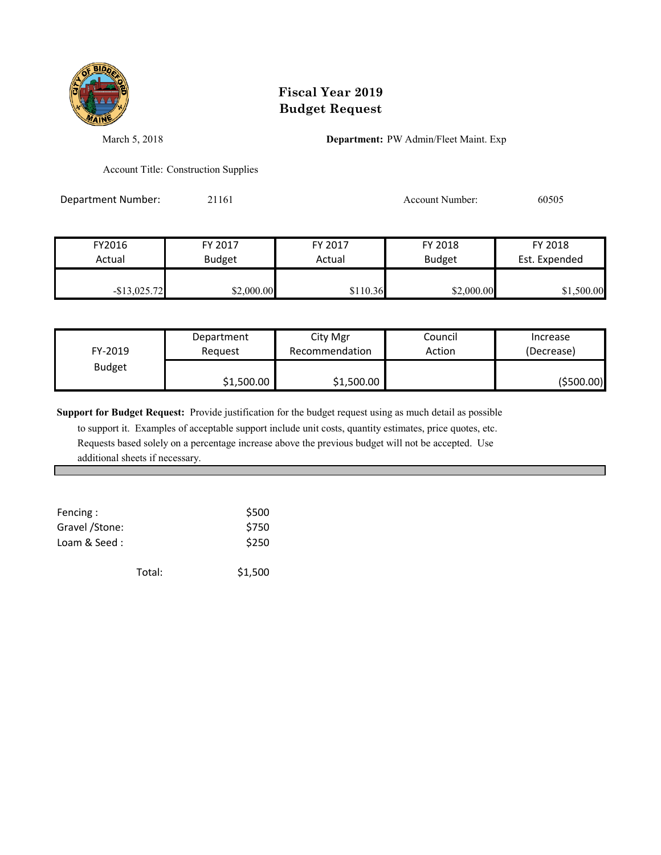

March 5, 2018 **Department:** PW Admin/Fleet Maint. Exp

Account Title: Construction Supplies

Department Number: 21161 2006 2011 2016 2016 2017 Account Number: 60505

| FY2016          | FY 2017       | FY 2017  | FY 2018       | FY 2018       |
|-----------------|---------------|----------|---------------|---------------|
| Actual          | <b>Budget</b> | Actual   | <b>Budget</b> | Est. Expended |
|                 |               |          |               |               |
| $-$ \$13,025.72 | \$2,000.00    | \$110.36 | \$2,000.00    | \$1,500.00    |

| FY-2019       | Department | City Mgr       | Council | Increase   |
|---------------|------------|----------------|---------|------------|
|               | Reauest    | Recommendation | Action  | (Decrease) |
| <b>Budget</b> | \$1,500.00 | \$1,500.00     |         | (\$500.00) |

**Support for Budget Request:** Provide justification for the budget request using as much detail as possible

| Fencing:        |        | \$500   |
|-----------------|--------|---------|
| Gravel / Stone: |        | \$750   |
| Loam & Seed:    |        | \$250   |
|                 | Total: | \$1,500 |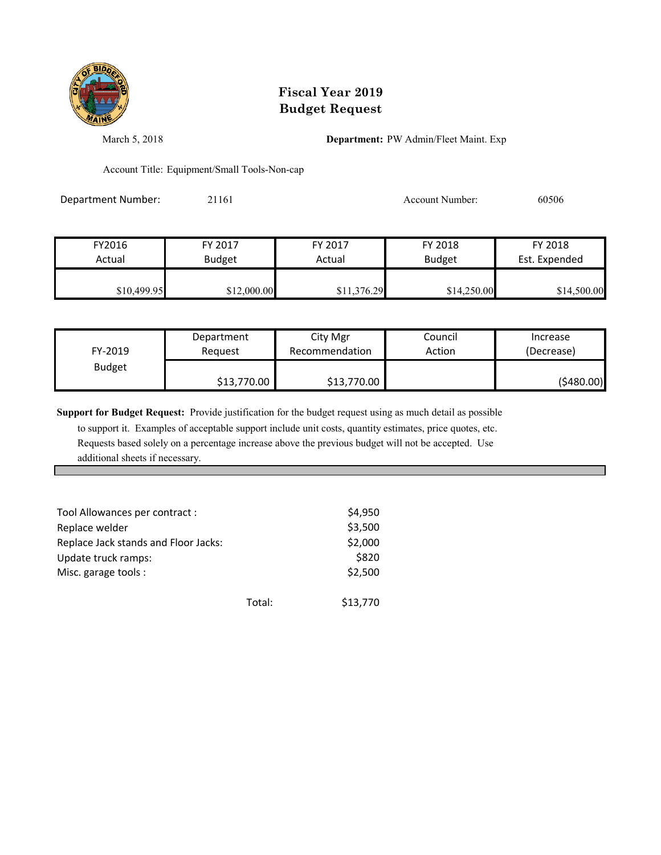

March 5, 2018 **Department:** PW Admin/Fleet Maint. Exp

Account Title: Equipment/Small Tools-Non-cap

Department Number: 21161 2008 2011 2016 Account Number: 60506

| FY2016      | FY 2017       | FY 2017     | FY 2018       | FY 2018       |
|-------------|---------------|-------------|---------------|---------------|
| Actual      | <b>Budget</b> | Actual      | <b>Budget</b> | Est. Expended |
|             |               |             |               |               |
| \$10,499.95 | \$12,000.00   | \$11,376.29 | \$14,250.00   | \$14,500.00   |

| FY-2019       | Department  | City Mgr       | Council | Increase    |
|---------------|-------------|----------------|---------|-------------|
|               | Reauest     | Recommendation | Action  | (Decrease)  |
| <b>Budget</b> | \$13,770.00 | \$13,770.00    |         | ( \$480.00) |

**Support for Budget Request:** Provide justification for the budget request using as much detail as possible

| Tool Allowances per contract :       |        | \$4,950  |
|--------------------------------------|--------|----------|
| Replace welder                       |        | \$3,500  |
| Replace Jack stands and Floor Jacks: |        | \$2,000  |
| Update truck ramps:                  |        | \$820    |
| Misc. garage tools :                 |        | \$2,500  |
|                                      | Total: | \$13,770 |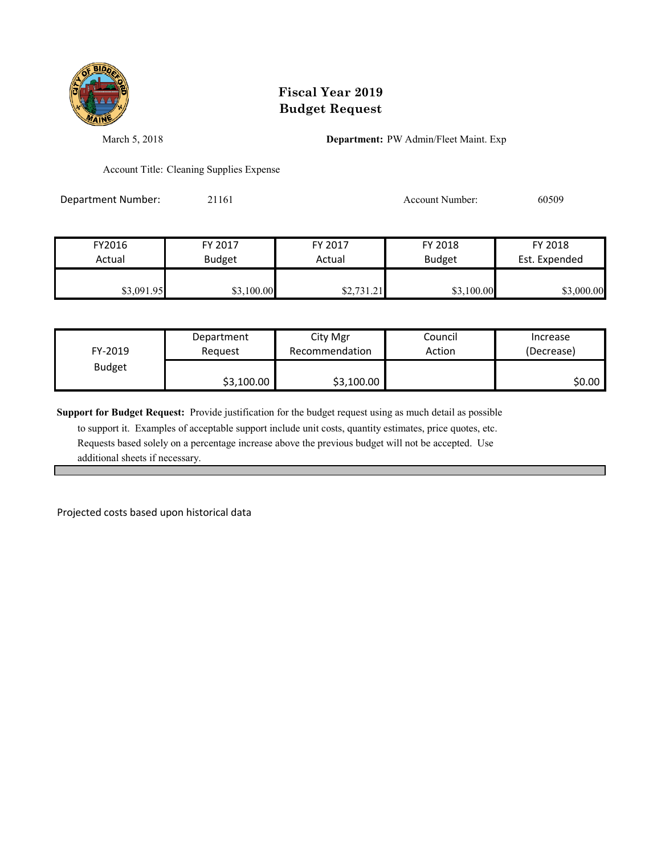

March 5, 2018 **Department:** PW Admin/Fleet Maint. Exp

Account Title: Cleaning Supplies Expense

Department Number: 21161 2009 2011 2012 Account Number: 60509

| FY2016     | FY 2017       | FY 2017    | FY 2018       | FY 2018       |
|------------|---------------|------------|---------------|---------------|
| Actual     | <b>Budget</b> | Actual     | <b>Budget</b> | Est. Expended |
| \$3,091.95 | \$3,100.00    | \$2,731.21 | \$3,100.00    | \$3,000.00    |

| FY-2019       | Department | City Mgr       | Council | Increase   |
|---------------|------------|----------------|---------|------------|
|               | Request    | Recommendation | Action  | (Decrease) |
| <b>Budget</b> | \$3,100.00 | \$3,100.00     |         | \$0.00     |

**Support for Budget Request:** Provide justification for the budget request using as much detail as possible

 to support it. Examples of acceptable support include unit costs, quantity estimates, price quotes, etc. Requests based solely on a percentage increase above the previous budget will not be accepted. Use additional sheets if necessary.

Projected costs based upon historical data